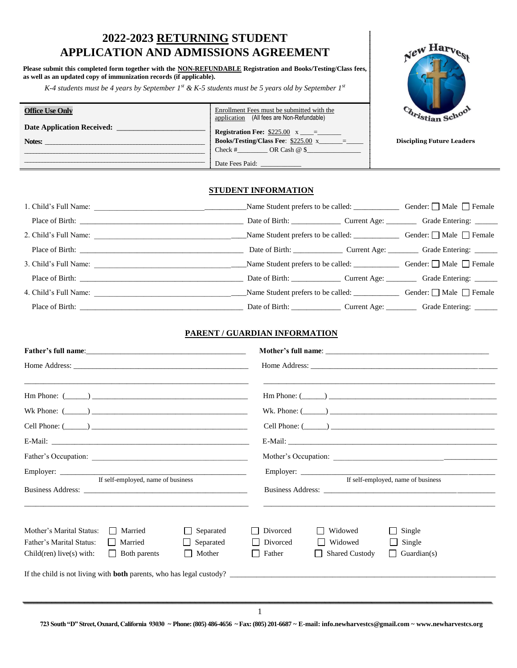# **2022-2023 RETURNING STUDENT APPLICATION AND ADMISSIONS AGREEMENT**

**Please submit this completed form together with the NON-REFUNDABLE Registration and Books/Testing/Class fees, as well as an updated copy of immunization records (if applicable).**

*K-4 students must be 4 years by September 1st & K-5 students must be 5 years old by September 1st*

**Office Use Only**

Notes: \_

**Date Application Received:** \_\_\_\_\_\_\_\_\_\_\_\_\_\_\_\_\_\_\_\_\_

\_\_\_\_\_\_\_\_\_\_\_\_\_\_\_\_\_\_\_\_\_\_\_\_\_\_\_\_\_\_\_\_\_\_\_\_\_\_\_\_\_\_\_\_\_\_\_\_\_\_\_\_\_\_\_\_\_\_\_\_\_ \_\_\_\_\_\_\_\_\_\_\_\_\_\_\_\_\_\_\_\_\_\_\_\_\_\_\_\_\_\_\_\_\_\_\_\_\_\_\_\_\_\_\_\_\_\_\_\_\_\_\_\_\_\_\_\_\_\_\_\_\_



**Discipling Future Leaders**

## **STUDENT INFORMATION**

Date Fees Paid:

Enrollment Fees must be submitted with the application (All fees are Non-Refundable) **Registration Fee:** \$225.00 x \_\_\_\_= **Books/Testing/Class Fee**: \$225.00 x\_\_\_\_\_\_\_=\_\_\_\_\_ Check  $\#$  OR Cash  $@$  \$

|                                                                                                                                                                                                                                | Name Student prefers to be called: <u>Conserverent</u> Gender: □ Male □ Female |  |
|--------------------------------------------------------------------------------------------------------------------------------------------------------------------------------------------------------------------------------|--------------------------------------------------------------------------------|--|
| Place of Birth: New York and Separate and Separate and Separate and Separate and Separate and Separate and Separate and Separate and Separate and Separate and Separate and Separate and Separate and Separate and Separate an |                                                                                |  |
| 3. Child's Full Name:                                                                                                                                                                                                          |                                                                                |  |
|                                                                                                                                                                                                                                | Date of Birth: Current Age: Current Age: Grade Entering: Current Age:          |  |
|                                                                                                                                                                                                                                | Name Student prefers to be called: <u>Conserverent</u> Gender: □ Male □ Female |  |
|                                                                                                                                                                                                                                |                                                                                |  |

## **PARENT / GUARDIAN INFORMATION**

| <u> 1989 - Johann Stoff, amerikansk politiker (d. 1989)</u><br>$\text{Hm Phone: } (\_\_)$ | <u> 1989 - Jan James James James James James James James James James James James James James James James James J</u><br>$\text{Hm Phone: } (\_\_)$ |
|-------------------------------------------------------------------------------------------|----------------------------------------------------------------------------------------------------------------------------------------------------|
| Wk Phone: $(\_\_)$                                                                        | Wk. Phone: $(\_\_)$                                                                                                                                |
|                                                                                           |                                                                                                                                                    |
|                                                                                           |                                                                                                                                                    |
|                                                                                           |                                                                                                                                                    |
| If self-employed, name of business                                                        | If self-employed, name of business                                                                                                                 |
| <u> 1989 - Johann Stoff, amerikansk politiker (d. 1989)</u>                               |                                                                                                                                                    |
| Separated<br>Mother's Marital Status:<br>    Married                                      | $\Box$ Single<br>Divorced<br>Widowed                                                                                                               |
| Father's Marital Status:<br>Separated<br>Married                                          | $\Box$ Divorced<br>Widowed<br>$\Box$ Single                                                                                                        |
| $\Box$ Both parents<br>Mother<br>Child(ren) live(s) with:                                 | Father<br><b>Shared Custody</b><br>$\vert$ Guardian(s)                                                                                             |
| If the child is not living with <b>both</b> parents, who has legal custody?               |                                                                                                                                                    |

**723 South "D" Street, Oxnard, California 93030 ~ Phone: (805) 486-4656 ~ Fax: (805) 201-6687 ~ E-mail: info.newharvestcs@gmail.com ~ www.newharvestcs.org**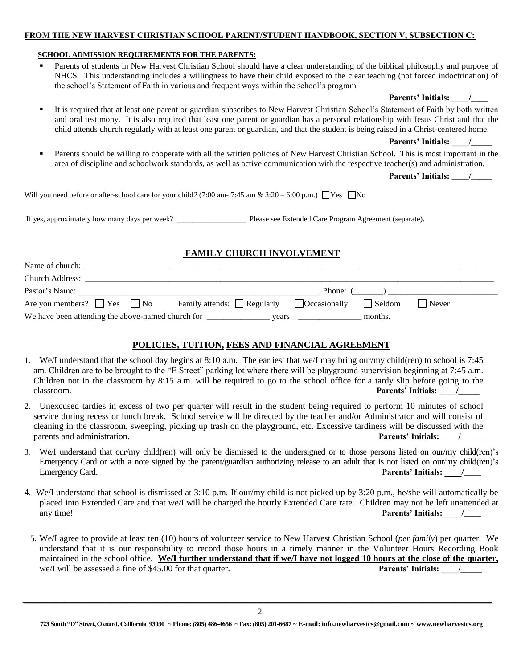## **FROM THE NEW HARVEST CHRISTIAN SCHOOL PARENT/STUDENT HANDBOOK, SECTION V, SUBSECTION C:**

#### **SCHOOL ADMISSION REQUIREMENTS FOR THE PARENTS:**

- Parents of students in New Harvest Christian School should have a clear understanding of the biblical philosophy and purpose of NHCS. This understanding includes a willingness to have their child exposed to the clear teaching (not forced indoctrination) of the school's Statement of Faith in various and frequent ways within the school's program.
- It is required that at least one parent or guardian subscribes to New Harvest Christian School's Statement of Faith by both written and oral testimony. It is also required that least one parent or guardian has a personal relationship with Jesus Christ and that the child attends church regularly with at least one parent or guardian, and that the student is being raised in a Christ-centered home.

Parents' Initials: /

 Parents should be willing to cooperate with all the written policies of New Harvest Christian School. This is most important in the area of discipline and schoolwork standards, as well as active communication with the respective teacher(s) and administration.

**Parents' Initials: \_\_\_\_/\_\_\_\_\_**

**Parents' Initials: \_\_\_\_/\_\_\_\_**

Will you need before or after-school care for your child?  $(7:00 \text{ am} \cdot 7:45 \text{ am} \& 3:20 - 6:00 \text{ p.m.}) \square \text{Yes} \square \text{No}$ 

If yes, approximately how many days per week? \_\_\_\_\_\_\_\_\_\_\_\_\_\_\_\_\_\_ Please see Extended Care Program Agreement (separate).

## **FAMILY CHURCH INVOLVEMENT**

| Name of church:                                   |                                                                             |
|---------------------------------------------------|-----------------------------------------------------------------------------|
| <b>Church Address:</b>                            |                                                                             |
| Pastor's Name:                                    | Phone: (                                                                    |
| Are you members? $\Box$ Yes $\Box$ No             | Family attends: $\Box$ Regularly $\Box$ Occasionally<br>  Never<br>  Seldom |
| We have been attending the above-named church for | months.<br>vears                                                            |

## **POLICIES, TUITION, FEES AND FINANCIAL AGREEMENT**

- 1. We/I understand that the school day begins at 8:10 a.m. The earliest that we/I may bring our/my child(ren) to school is 7:45 am. Children are to be brought to the "E Street" parking lot where there will be playground supervision beginning at 7:45 a.m. Children not in the classroom by 8:15 a.m. will be required to go to the school office for a tardy slip before going to the classroom. **Parents' Initials:** /
- 2. Unexcused tardies in excess of two per quarter will result in the student being required to perform 10 minutes of school service during recess or lunch break. School service will be directed by the teacher and/or Administrator and will consist of cleaning in the classroom, sweeping, picking up trash on the playground, etc. Excessive tardiness will be discussed with the parents and administration. **Parents' Initials: \_\_\_\_/\_\_\_\_\_**
- 3. We/I understand that our/my child(ren) will only be dismissed to the undersigned or to those persons listed on our/my child(ren)'s Emergency Card or with a note signed by the parent/guardian authorizing release to an adult that is not listed on our/my child(ren)'s Emergency Card. **Parents' Initials:**  $\qquad$
- 4. We/I understand that school is dismissed at 3:10 p.m. If our/my child is not picked up by 3:20 p.m., he/she will automatically be placed into Extended Care and that we/I will be charged the hourly Extended Care rate. Children may not be left unattended at any time! **Parents' Initials:**  $\sqrt{2}$
- 5. We/I agree to provide at least ten (10) hours of volunteer service to New Harvest Christian School (*per family*) per quarter. We understand that it is our responsibility to record those hours in a timely manner in the Volunteer Hours Recording Book maintained in the school office. **We/I further understand that if we/I have not logged 10 hours at the close of the quarter,**  we/I will be assessed a fine of \$45.00 for that quarter. **Parents' Initials:**  $\frac{1}{2}$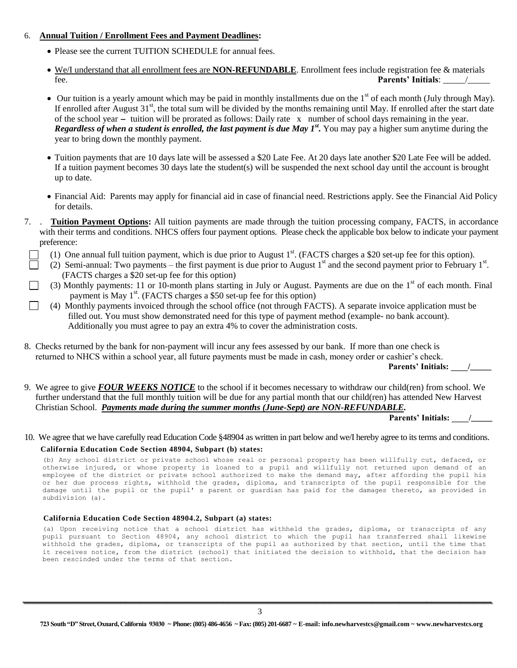## 6. **Annual Tuition / Enrollment Fees and Payment Deadlines:**

- Please see the current TUITION SCHEDULE for annual fees.
- We/I understand that all enrollment fees are **NON-REFUNDABLE**. Enrollment fees include registration fee & materials fee. **Parents' Initials**: \_\_\_\_\_/\_\_\_\_\_
- $\bullet$  Our tuition is a yearly amount which may be paid in monthly installments due on the 1<sup>st</sup> of each month (July through May). If enrolled after August  $31<sup>st</sup>$ , the total sum will be divided by the months remaining until May. If enrolled after the start date of the school year **-** tuition will be prorated as follows: Daily rate x number of school days remaining in the year. *Regardless of when a student is enrolled, the last payment is due May 1st .* You may pay a higher sum anytime during the year to bring down the monthly payment.
- Tuition payments that are 10 days late will be assessed a \$20 Late Fee. At 20 days late another \$20 Late Fee will be added. If a tuition payment becomes 30 days late the student(s) will be suspended the next school day until the account is brought up to date.
- Financial Aid: Parents may apply for financial aid in case of financial need. Restrictions apply. See the Financial Aid Policy for details.
- 7. . **Tuition Payment Options:** All tuition payments are made through the tuition processing company, FACTS, in accordance with their terms and conditions. NHCS offers four payment options. Please check the applicable box below to indicate your payment preference:
	- (1) One annual full tuition payment, which is due prior to August  $1<sup>st</sup>$ . (FACTS charges a \$20 set-up fee for this option).
	- (2) Semi-annual: Two payments the first payment is due prior to August  $1<sup>st</sup>$  and the second payment prior to February  $1<sup>st</sup>$ . (FACTS charges a \$20 set-up fee for this option)
	- (3) Monthly payments: 11 or 10-month plans starting in July or August. Payments are due on the  $1<sup>st</sup>$  of each month. Final payment is May 1<sup>st</sup>. (FACTS charges a \$50 set-up fee for this option)
	- (4) Monthly payments invoiced through the school office (not through FACTS). A separate invoice application must be filled out. You must show demonstrated need for this type of payment method (example- no bank account). Additionally you must agree to pay an extra 4% to cover the administration costs.
- 8. Checks returned by the bank for non-payment will incur any fees assessed by our bank. If more than one check is returned to NHCS within a school year, all future payments must be made in cash, money order or cashier's check.

 **Parents' Initials: \_\_\_\_/\_\_\_\_\_**

9. We agree to give *FOUR WEEKS NOTICE* to the school if it becomes necessary to withdraw our child(ren) from school. We further understand that the full monthly tuition will be due for any partial month that our child(ren) has attended New Harvest Christian School. *Payments made during the summer months (June-Sept) are NON-REFUNDABLE.*

**Parents' Initials: \_\_\_\_/\_\_\_\_\_**

## 10. We agree that we have carefully read Education Code §48904 as written in part below and we/I hereby agree to its terms and conditions.  **California Education Code Section 48904, Subpart (b) states:**

(b) Any school district or private school whose real or personal property has been willfully cut, defaced, or otherwise injured, or whose property is loaned to a pupil and willfully not returned upon demand of an employee of the district or private school authorized to make the demand may, after affording the pupil his or her due process rights, withhold the grades, diploma, and transcripts of the pupil responsible for the damage until the pupil or the pupil' s parent or guardian has paid for the damages thereto, as provided in subdivision (a).

## **California Education Code Section 48904.2, Subpart (a) states:**

(a) Upon receiving notice that a school district has withheld the grades, diploma, or transcripts of any pupil pursuant to Section 48904**,** any school district to which the pupil has transferred shall likewise withhold the grades, diploma, or transcripts of the pupil as authorized by that section, until the time that it receives notice, from the district (school) that initiated the decision to withhold, that the decision has been rescinded under the terms of that section**.**